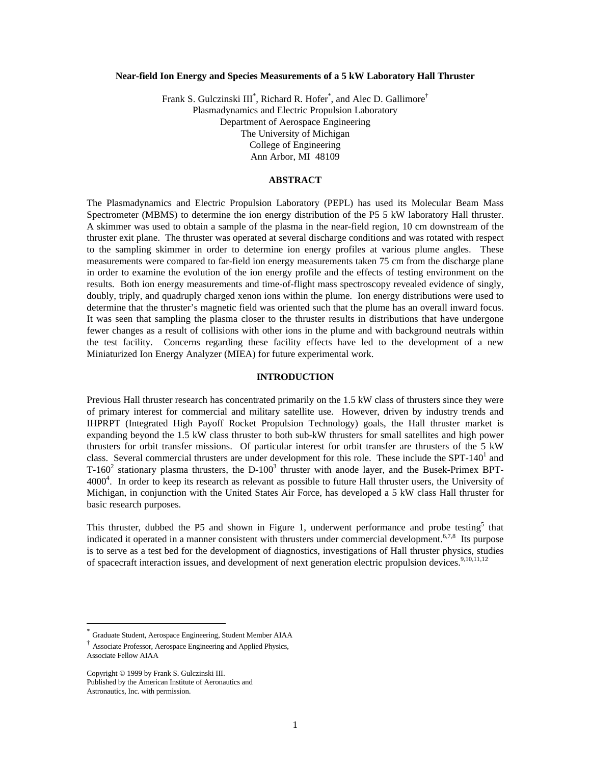#### **Near-field Ion Energy and Species Measurements of a 5 kW Laboratory Hall Thruster**

Frank S. Gulczinski III<sup>\*</sup>, Richard R. Hofer<sup>\*</sup>, and Alec D. Gallimore<sup>†</sup> Plasmadynamics and Electric Propulsion Laboratory Department of Aerospace Engineering The University of Michigan College of Engineering Ann Arbor, MI 48109

## **ABSTRACT**

The Plasmadynamics and Electric Propulsion Laboratory (PEPL) has used its Molecular Beam Mass Spectrometer (MBMS) to determine the ion energy distribution of the P5 5 kW laboratory Hall thruster. A skimmer was used to obtain a sample of the plasma in the near-field region, 10 cm downstream of the thruster exit plane. The thruster was operated at several discharge conditions and was rotated with respect to the sampling skimmer in order to determine ion energy profiles at various plume angles. These measurements were compared to far-field ion energy measurements taken 75 cm from the discharge plane in order to examine the evolution of the ion energy profile and the effects of testing environment on the results. Both ion energy measurements and time-of-flight mass spectroscopy revealed evidence of singly, doubly, triply, and quadruply charged xenon ions within the plume. Ion energy distributions were used to determine that the thruster's magnetic field was oriented such that the plume has an overall inward focus. It was seen that sampling the plasma closer to the thruster results in distributions that have undergone fewer changes as a result of collisions with other ions in the plume and with background neutrals within the test facility. Concerns regarding these facility effects have led to the development of a new Miniaturized Ion Energy Analyzer (MIEA) for future experimental work.

# **INTRODUCTION**

Previous Hall thruster research has concentrated primarily on the 1.5 kW class of thrusters since they were of primary interest for commercial and military satellite use. However, driven by industry trends and IHPRPT (Integrated High Payoff Rocket Propulsion Technology) goals, the Hall thruster market is expanding beyond the 1.5 kW class thruster to both sub-kW thrusters for small satellites and high power thrusters for orbit transfer missions. Of particular interest for orbit transfer are thrusters of the 5 kW class. Several commercial thrusters are under development for this role. These include the SPT-140 $^1$  and T-160<sup>2</sup> stationary plasma thrusters, the D-100<sup>3</sup> thruster with anode layer, and the Busek-Primex BPT-4000<sup>4</sup>. In order to keep its research as relevant as possible to future Hall thruster users, the University of Michigan, in conjunction with the United States Air Force, has developed a 5 kW class Hall thruster for basic research purposes.

This thruster, dubbed the P5 and shown in Figure 1, underwent performance and probe testing<sup>5</sup> that indicated it operated in a manner consistent with thrusters under commercial development.<sup>6,7,8</sup> Its purpose is to serve as a test bed for the development of diagnostics, investigations of Hall thruster physics, studies of spacecraft interaction issues, and development of next generation electric propulsion devices.<sup>9,10,11,12</sup>

1

<sup>\*</sup> Graduate Student, Aerospace Engineering, Student Member AIAA

<sup>†</sup> Associate Professor, Aerospace Engineering and Applied Physics, Associate Fellow AIAA

Copyright © 1999 by Frank S. Gulczinski III. Published by the American Institute of Aeronautics and Astronautics, Inc. with permission.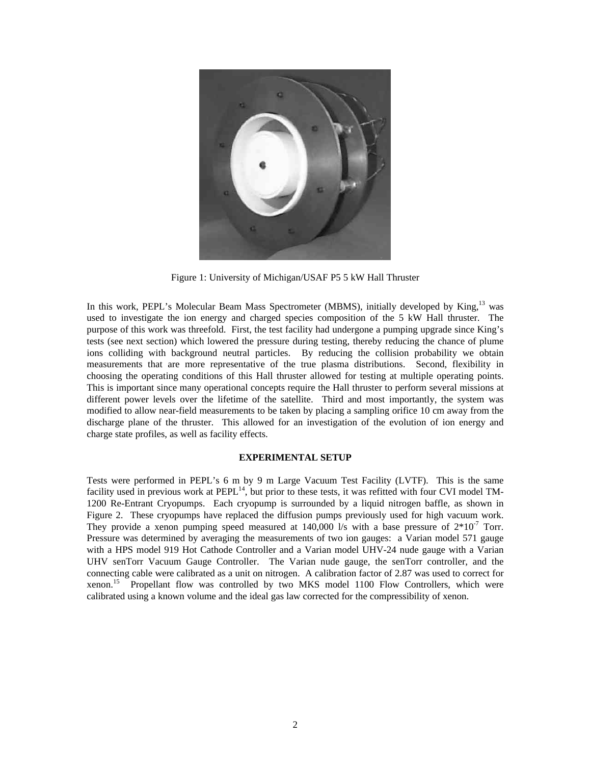

Figure 1: University of Michigan/USAF P5 5 kW Hall Thruster

In this work, PEPL's Molecular Beam Mass Spectrometer (MBMS), initially developed by King,<sup>13</sup> was used to investigate the ion energy and charged species composition of the 5 kW Hall thruster. The purpose of this work was threefold. First, the test facility had undergone a pumping upgrade since King's tests (see next section) which lowered the pressure during testing, thereby reducing the chance of plume ions colliding with background neutral particles. By reducing the collision probability we obtain measurements that are more representative of the true plasma distributions. Second, flexibility in choosing the operating conditions of this Hall thruster allowed for testing at multiple operating points. This is important since many operational concepts require the Hall thruster to perform several missions at different power levels over the lifetime of the satellite. Third and most importantly, the system was modified to allow near-field measurements to be taken by placing a sampling orifice 10 cm away from the discharge plane of the thruster. This allowed for an investigation of the evolution of ion energy and charge state profiles, as well as facility effects.

## **EXPERIMENTAL SETUP**

Tests were performed in PEPL's 6 m by 9 m Large Vacuum Test Facility (LVTF). This is the same facility used in previous work at  $PEPL<sup>14</sup>$ , but prior to these tests, it was refitted with four CVI model TM-1200 Re-Entrant Cryopumps. Each cryopump is surrounded by a liquid nitrogen baffle, as shown in Figure 2. These cryopumps have replaced the diffusion pumps previously used for high vacuum work. They provide a xenon pumping speed measured at 140,000 l/s with a base pressure of  $2*10^{-7}$  Torr. Pressure was determined by averaging the measurements of two ion gauges: a Varian model 571 gauge with a HPS model 919 Hot Cathode Controller and a Varian model UHV-24 nude gauge with a Varian UHV senTorr Vacuum Gauge Controller. The Varian nude gauge, the senTorr controller, and the connecting cable were calibrated as a unit on nitrogen. A calibration factor of 2.87 was used to correct for xenon.<sup>15</sup> Propellant flow was controlled by two MKS model 1100 Flow Controllers, which were calibrated using a known volume and the ideal gas law corrected for the compressibility of xenon.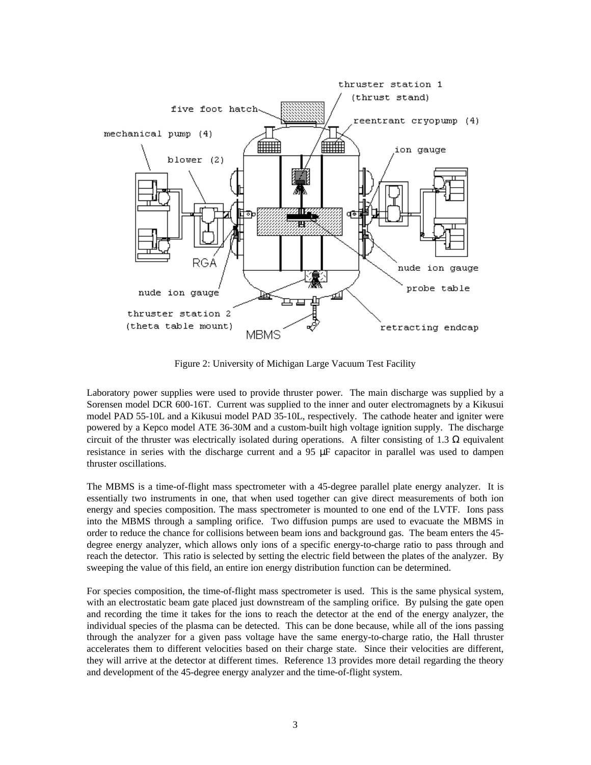

Figure 2: University of Michigan Large Vacuum Test Facility

Laboratory power supplies were used to provide thruster power. The main discharge was supplied by a Sorensen model DCR 600-16T. Current was supplied to the inner and outer electromagnets by a Kikusui model PAD 55-10L and a Kikusui model PAD 35-10L, respectively. The cathode heater and igniter were powered by a Kepco model ATE 36-30M and a custom-built high voltage ignition supply. The discharge circuit of the thruster was electrically isolated during operations. A filter consisting of 1.3  $\Omega$  equivalent resistance in series with the discharge current and a 95 μF capacitor in parallel was used to dampen thruster oscillations.

The MBMS is a time-of-flight mass spectrometer with a 45-degree parallel plate energy analyzer. It is essentially two instruments in one, that when used together can give direct measurements of both ion energy and species composition. The mass spectrometer is mounted to one end of the LVTF. Ions pass into the MBMS through a sampling orifice. Two diffusion pumps are used to evacuate the MBMS in order to reduce the chance for collisions between beam ions and background gas. The beam enters the 45 degree energy analyzer, which allows only ions of a specific energy-to-charge ratio to pass through and reach the detector. This ratio is selected by setting the electric field between the plates of the analyzer. By sweeping the value of this field, an entire ion energy distribution function can be determined.

For species composition, the time-of-flight mass spectrometer is used. This is the same physical system, with an electrostatic beam gate placed just downstream of the sampling orifice. By pulsing the gate open and recording the time it takes for the ions to reach the detector at the end of the energy analyzer, the individual species of the plasma can be detected. This can be done because, while all of the ions passing through the analyzer for a given pass voltage have the same energy-to-charge ratio, the Hall thruster accelerates them to different velocities based on their charge state. Since their velocities are different, they will arrive at the detector at different times. Reference 13 provides more detail regarding the theory and development of the 45-degree energy analyzer and the time-of-flight system.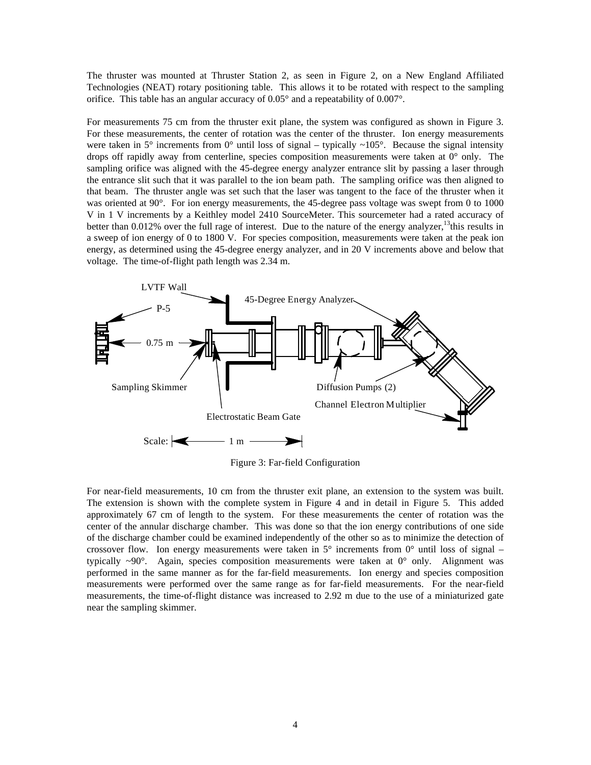The thruster was mounted at Thruster Station 2, as seen in Figure 2, on a New England Affiliated Technologies (NEAT) rotary positioning table. This allows it to be rotated with respect to the sampling orifice. This table has an angular accuracy of 0.05° and a repeatability of 0.007°.

For measurements 75 cm from the thruster exit plane, the system was configured as shown in Figure 3. For these measurements, the center of rotation was the center of the thruster. Ion energy measurements were taken in  $5^\circ$  increments from  $0^\circ$  until loss of signal – typically  $\sim 105^\circ$ . Because the signal intensity drops off rapidly away from centerline, species composition measurements were taken at  $0^{\circ}$  only. The sampling orifice was aligned with the 45-degree energy analyzer entrance slit by passing a laser through the entrance slit such that it was parallel to the ion beam path. The sampling orifice was then aligned to that beam. The thruster angle was set such that the laser was tangent to the face of the thruster when it was oriented at 90°. For ion energy measurements, the 45-degree pass voltage was swept from 0 to 1000 V in 1 V increments by a Keithley model 2410 SourceMeter. This sourcemeter had a rated accuracy of better than 0.012% over the full rage of interest. Due to the nature of the energy analyzer,  $13$ this results in a sweep of ion energy of 0 to 1800 V. For species composition, measurements were taken at the peak ion energy, as determined using the 45-degree energy analyzer, and in 20 V increments above and below that voltage. The time-of-flight path length was 2.34 m.



Figure 3: Far-field Configuration

For near-field measurements, 10 cm from the thruster exit plane, an extension to the system was built. The extension is shown with the complete system in Figure 4 and in detail in Figure 5. This added approximately 67 cm of length to the system. For these measurements the center of rotation was the center of the annular discharge chamber. This was done so that the ion energy contributions of one side of the discharge chamber could be examined independently of the other so as to minimize the detection of crossover flow. Ion energy measurements were taken in  $5^\circ$  increments from  $0^\circ$  until loss of signal – typically  $\sim 90^\circ$ . Again, species composition measurements were taken at  $0^\circ$  only. Alignment was performed in the same manner as for the far-field measurements. Ion energy and species composition measurements were performed over the same range as for far-field measurements. For the near-field measurements, the time-of-flight distance was increased to 2.92 m due to the use of a miniaturized gate near the sampling skimmer.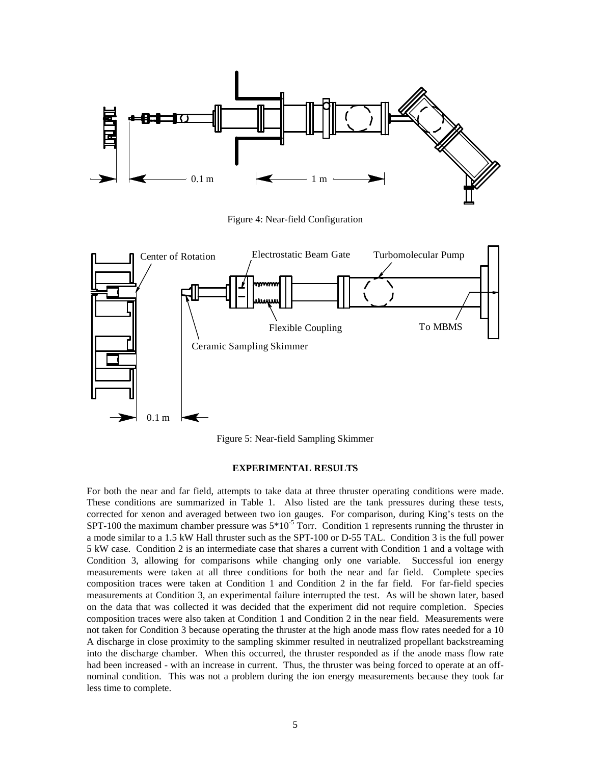

Figure 4: Near-field Configuration



Figure 5: Near-field Sampling Skimmer

# **EXPERIMENTAL RESULTS**

For both the near and far field, attempts to take data at three thruster operating conditions were made. These conditions are summarized in Table 1. Also listed are the tank pressures during these tests, corrected for xenon and averaged between two ion gauges. For comparison, during King's tests on the SPT-100 the maximum chamber pressure was  $5*10^{-5}$  Torr. Condition 1 represents running the thruster in a mode similar to a 1.5 kW Hall thruster such as the SPT-100 or D-55 TAL. Condition 3 is the full power 5 kW case. Condition 2 is an intermediate case that shares a current with Condition 1 and a voltage with Condition 3, allowing for comparisons while changing only one variable. Successful ion energy measurements were taken at all three conditions for both the near and far field. Complete species composition traces were taken at Condition 1 and Condition 2 in the far field. For far-field species measurements at Condition 3, an experimental failure interrupted the test. As will be shown later, based on the data that was collected it was decided that the experiment did not require completion. Species composition traces were also taken at Condition 1 and Condition 2 in the near field. Measurements were not taken for Condition 3 because operating the thruster at the high anode mass flow rates needed for a 10 A discharge in close proximity to the sampling skimmer resulted in neutralized propellant backstreaming into the discharge chamber. When this occurred, the thruster responded as if the anode mass flow rate had been increased - with an increase in current. Thus, the thruster was being forced to operate at an offnominal condition. This was not a problem during the ion energy measurements because they took far less time to complete.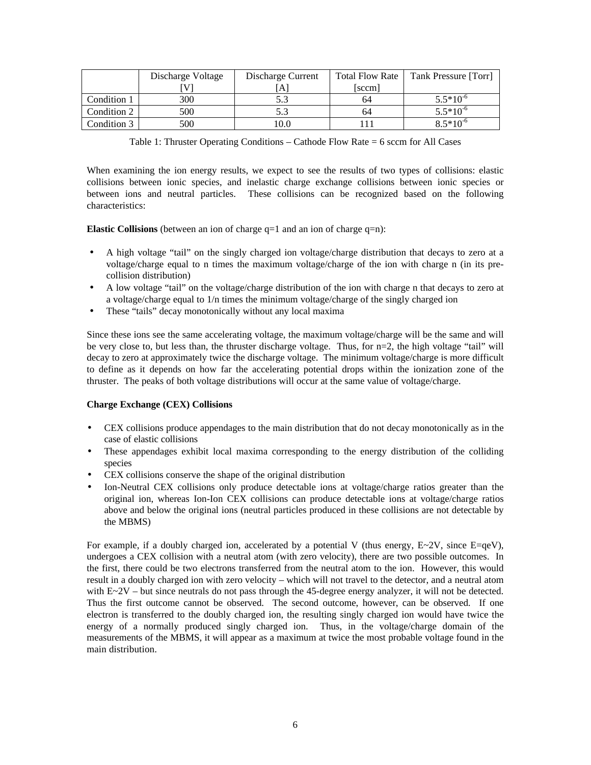|             | Discharge Voltage | Discharge Current | <b>Total Flow Rate</b> | Tank Pressure [Torr] |
|-------------|-------------------|-------------------|------------------------|----------------------|
|             |                   |                   | sccm l                 |                      |
| Condition 1 | 300               |                   | 64                     | $5.5*10^{-6}$        |
| Condition 2 | 500               |                   | 64                     | $5.5*10^{-6}$        |
| Condition 3 | 500               | ! 0.0             |                        | $8.5*10^{-6}$        |

Table 1: Thruster Operating Conditions – Cathode Flow Rate = 6 sccm for All Cases

When examining the ion energy results, we expect to see the results of two types of collisions: elastic collisions between ionic species, and inelastic charge exchange collisions between ionic species or between ions and neutral particles. These collisions can be recognized based on the following characteristics:

**Elastic Collisions** (between an ion of charge q=1 and an ion of charge q=n):

- A high voltage "tail" on the singly charged ion voltage/charge distribution that decays to zero at a voltage/charge equal to n times the maximum voltage/charge of the ion with charge n (in its precollision distribution)
- A low voltage "tail" on the voltage/charge distribution of the ion with charge n that decays to zero at a voltage/charge equal to 1/n times the minimum voltage/charge of the singly charged ion
- These "tails" decay monotonically without any local maxima

Since these ions see the same accelerating voltage, the maximum voltage/charge will be the same and will be very close to, but less than, the thruster discharge voltage. Thus, for n=2, the high voltage "tail" will decay to zero at approximately twice the discharge voltage. The minimum voltage/charge is more difficult to define as it depends on how far the accelerating potential drops within the ionization zone of the thruster. The peaks of both voltage distributions will occur at the same value of voltage/charge.

# **Charge Exchange (CEX) Collisions**

- CEX collisions produce appendages to the main distribution that do not decay monotonically as in the case of elastic collisions
- These appendages exhibit local maxima corresponding to the energy distribution of the colliding species
- CEX collisions conserve the shape of the original distribution
- Ion-Neutral CEX collisions only produce detectable ions at voltage/charge ratios greater than the original ion, whereas Ion-Ion CEX collisions can produce detectable ions at voltage/charge ratios above and below the original ions (neutral particles produced in these collisions are not detectable by the MBMS)

For example, if a doubly charged ion, accelerated by a potential V (thus energy,  $E \sim 2V$ , since  $E = qeV$ ), undergoes a CEX collision with a neutral atom (with zero velocity), there are two possible outcomes. In the first, there could be two electrons transferred from the neutral atom to the ion. However, this would result in a doubly charged ion with zero velocity – which will not travel to the detector, and a neutral atom with  $E~2V$  – but since neutrals do not pass through the 45-degree energy analyzer, it will not be detected. Thus the first outcome cannot be observed. The second outcome, however, can be observed. If one electron is transferred to the doubly charged ion, the resulting singly charged ion would have twice the energy of a normally produced singly charged ion. Thus, in the voltage/charge domain of the measurements of the MBMS, it will appear as a maximum at twice the most probable voltage found in the main distribution.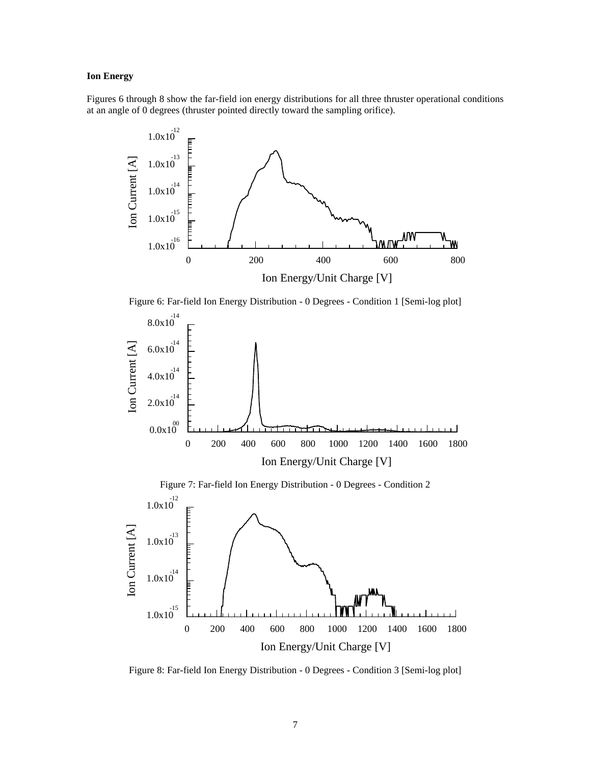# **Ion Energy**

Figures 6 through 8 show the far-field ion energy distributions for all three thruster operational conditions at an angle of 0 degrees (thruster pointed directly toward the sampling orifice).



Figure 6: Far-field Ion Energy Distribution - 0 Degrees - Condition 1 [Semi-log plot]







Figure 8: Far-field Ion Energy Distribution - 0 Degrees - Condition 3 [Semi-log plot]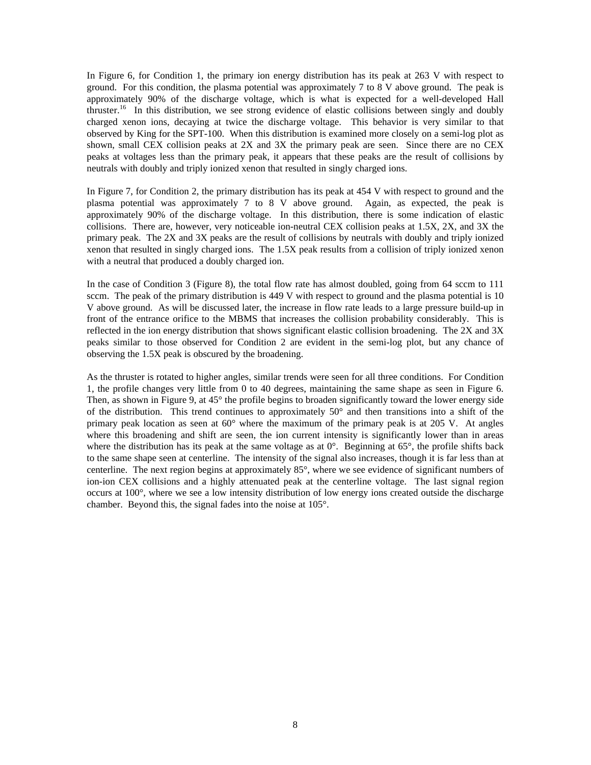In Figure 6, for Condition 1, the primary ion energy distribution has its peak at 263 V with respect to ground. For this condition, the plasma potential was approximately 7 to 8 V above ground. The peak is approximately 90% of the discharge voltage, which is what is expected for a well-developed Hall thruster.<sup>16</sup> In this distribution, we see strong evidence of elastic collisions between singly and doubly charged xenon ions, decaying at twice the discharge voltage. This behavior is very similar to that observed by King for the SPT-100. When this distribution is examined more closely on a semi-log plot as shown, small CEX collision peaks at 2X and 3X the primary peak are seen. Since there are no CEX peaks at voltages less than the primary peak, it appears that these peaks are the result of collisions by neutrals with doubly and triply ionized xenon that resulted in singly charged ions.

In Figure 7, for Condition 2, the primary distribution has its peak at 454 V with respect to ground and the plasma potential was approximately 7 to 8 V above ground. Again, as expected, the peak is approximately 90% of the discharge voltage. In this distribution, there is some indication of elastic collisions. There are, however, very noticeable ion-neutral CEX collision peaks at 1.5X, 2X, and 3X the primary peak. The 2X and 3X peaks are the result of collisions by neutrals with doubly and triply ionized xenon that resulted in singly charged ions. The 1.5X peak results from a collision of triply ionized xenon with a neutral that produced a doubly charged ion.

In the case of Condition 3 (Figure 8), the total flow rate has almost doubled, going from 64 sccm to 111 sccm. The peak of the primary distribution is 449 V with respect to ground and the plasma potential is 10 V above ground. As will be discussed later, the increase in flow rate leads to a large pressure build-up in front of the entrance orifice to the MBMS that increases the collision probability considerably. This is reflected in the ion energy distribution that shows significant elastic collision broadening. The 2X and 3X peaks similar to those observed for Condition 2 are evident in the semi-log plot, but any chance of observing the 1.5X peak is obscured by the broadening.

As the thruster is rotated to higher angles, similar trends were seen for all three conditions. For Condition 1, the profile changes very little from 0 to 40 degrees, maintaining the same shape as seen in Figure 6. Then, as shown in Figure 9, at 45° the profile begins to broaden significantly toward the lower energy side of the distribution. This trend continues to approximately  $50^{\circ}$  and then transitions into a shift of the primary peak location as seen at 60° where the maximum of the primary peak is at 205 V. At angles where this broadening and shift are seen, the ion current intensity is significantly lower than in areas where the distribution has its peak at the same voltage as at  $0^\circ$ . Beginning at 65°, the profile shifts back to the same shape seen at centerline. The intensity of the signal also increases, though it is far less than at centerline. The next region begins at approximately 85°, where we see evidence of significant numbers of ion-ion CEX collisions and a highly attenuated peak at the centerline voltage. The last signal region occurs at 100°, where we see a low intensity distribution of low energy ions created outside the discharge chamber. Beyond this, the signal fades into the noise at 105°.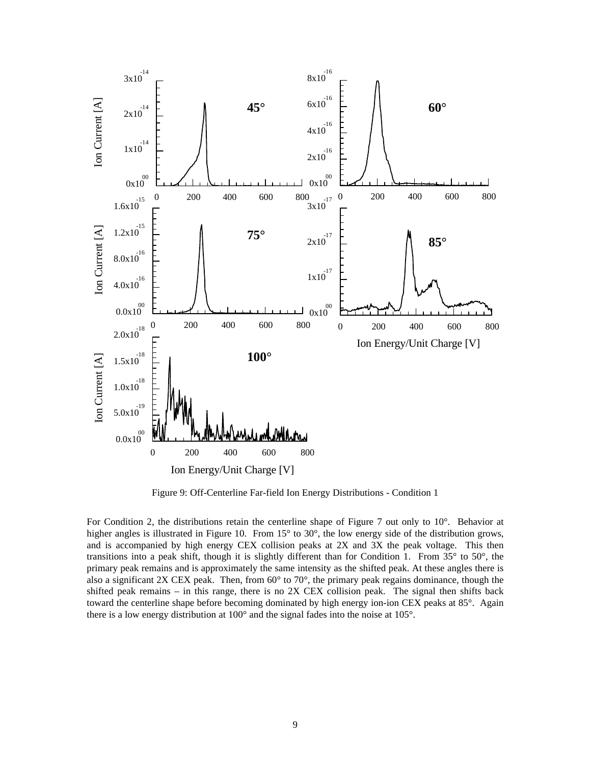

Figure 9: Off-Centerline Far-field Ion Energy Distributions - Condition 1

For Condition 2, the distributions retain the centerline shape of Figure 7 out only to 10°. Behavior at higher angles is illustrated in Figure 10. From 15° to 30°, the low energy side of the distribution grows, and is accompanied by high energy CEX collision peaks at 2X and 3X the peak voltage. This then transitions into a peak shift, though it is slightly different than for Condition 1. From  $35^\circ$  to  $50^\circ$ , the primary peak remains and is approximately the same intensity as the shifted peak. At these angles there is also a significant 2X CEX peak. Then, from 60° to 70°, the primary peak regains dominance, though the shifted peak remains – in this range, there is no 2X CEX collision peak. The signal then shifts back toward the centerline shape before becoming dominated by high energy ion-ion CEX peaks at 85°. Again there is a low energy distribution at 100° and the signal fades into the noise at 105°.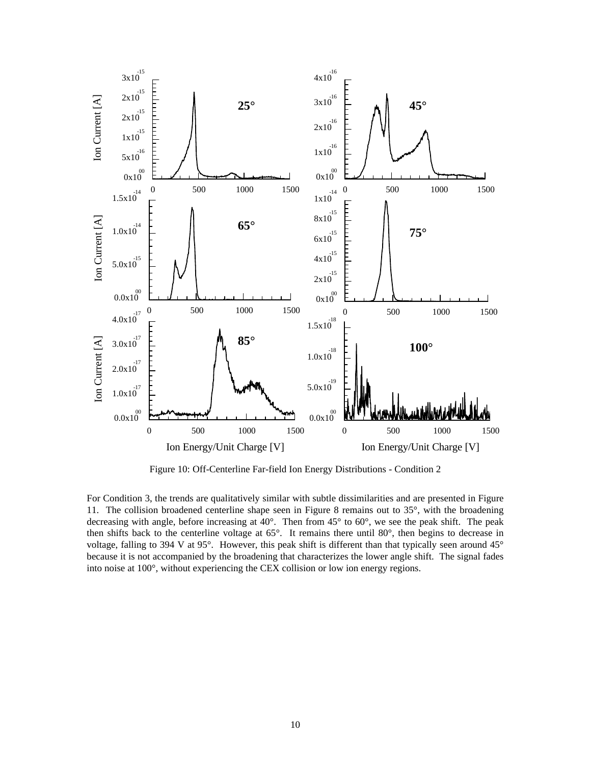

Figure 10: Off-Centerline Far-field Ion Energy Distributions - Condition 2

For Condition 3, the trends are qualitatively similar with subtle dissimilarities and are presented in Figure 11. The collision broadened centerline shape seen in Figure 8 remains out to 35°, with the broadening decreasing with angle, before increasing at 40°. Then from 45° to 60°, we see the peak shift. The peak then shifts back to the centerline voltage at 65°. It remains there until 80°, then begins to decrease in voltage, falling to 394 V at 95°. However, this peak shift is different than that typically seen around 45° because it is not accompanied by the broadening that characterizes the lower angle shift. The signal fades into noise at 100°, without experiencing the CEX collision or low ion energy regions.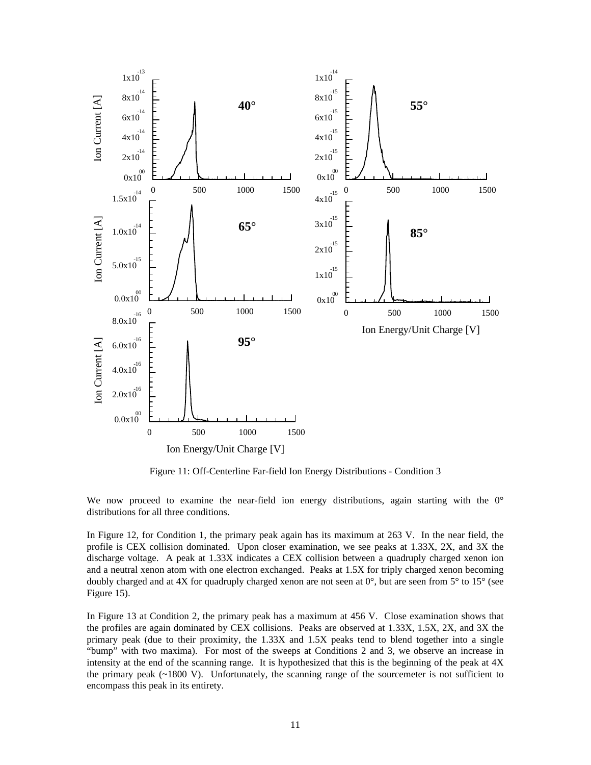

Figure 11: Off-Centerline Far-field Ion Energy Distributions - Condition 3

We now proceed to examine the near-field ion energy distributions, again starting with the  $0^{\circ}$ distributions for all three conditions.

In Figure 12, for Condition 1, the primary peak again has its maximum at 263 V. In the near field, the profile is CEX collision dominated. Upon closer examination, we see peaks at 1.33X, 2X, and 3X the discharge voltage. A peak at 1.33X indicates a CEX collision between a quadruply charged xenon ion and a neutral xenon atom with one electron exchanged. Peaks at 1.5X for triply charged xenon becoming doubly charged and at 4X for quadruply charged xenon are not seen at  $0^{\circ}$ , but are seen from  $5^{\circ}$  to  $15^{\circ}$  (see Figure 15).

In Figure 13 at Condition 2, the primary peak has a maximum at 456 V. Close examination shows that the profiles are again dominated by CEX collisions. Peaks are observed at 1.33X, 1.5X, 2X, and 3X the primary peak (due to their proximity, the 1.33X and 1.5X peaks tend to blend together into a single "bump" with two maxima). For most of the sweeps at Conditions 2 and 3, we observe an increase in intensity at the end of the scanning range. It is hypothesized that this is the beginning of the peak at 4X the primary peak  $(\sim1800 \text{ V})$ . Unfortunately, the scanning range of the sourcemeter is not sufficient to encompass this peak in its entirety.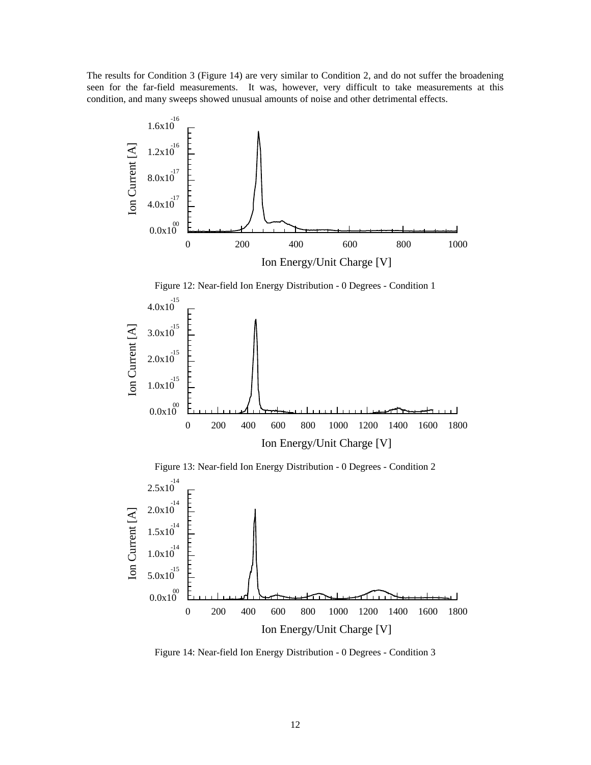The results for Condition 3 (Figure 14) are very similar to Condition 2, and do not suffer the broadening seen for the far-field measurements. It was, however, very difficult to take measurements at this condition, and many sweeps showed unusual amounts of noise and other detrimental effects.







Figure 13: Near-field Ion Energy Distribution - 0 Degrees - Condition 2



Figure 14: Near-field Ion Energy Distribution - 0 Degrees - Condition 3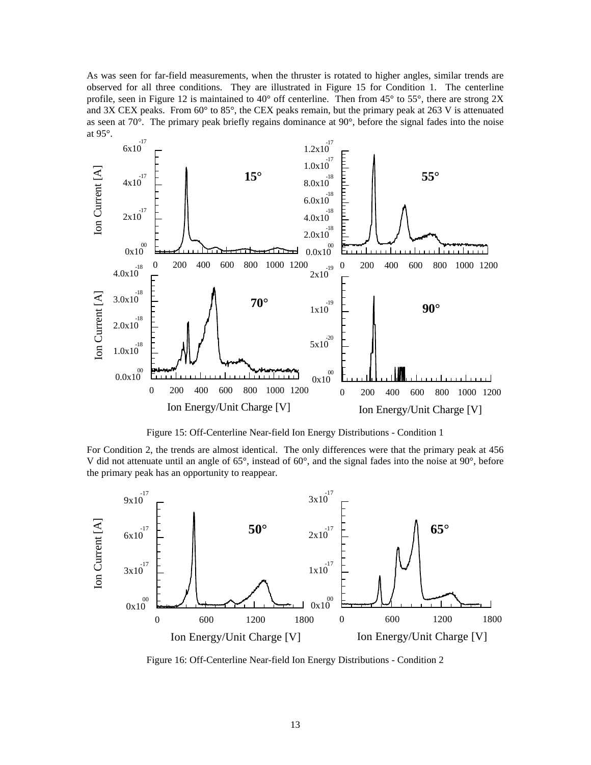As was seen for far-field measurements, when the thruster is rotated to higher angles, similar trends are observed for all three conditions. They are illustrated in Figure 15 for Condition 1. The centerline profile, seen in Figure 12 is maintained to 40 $^{\circ}$  off centerline. Then from 45 $^{\circ}$  to 55 $^{\circ}$ , there are strong 2X and 3X CEX peaks. From  $60^{\circ}$  to  $85^{\circ}$ , the CEX peaks remain, but the primary peak at 263 V is attenuated as seen at 70°. The primary peak briefly regains dominance at 90°, before the signal fades into the noise at 95°.



Figure 15: Off-Centerline Near-field Ion Energy Distributions - Condition 1

For Condition 2, the trends are almost identical. The only differences were that the primary peak at 456 V did not attenuate until an angle of  $65^\circ$ , instead of  $60^\circ$ , and the signal fades into the noise at  $90^\circ$ , before the primary peak has an opportunity to reappear.



Figure 16: Off-Centerline Near-field Ion Energy Distributions - Condition 2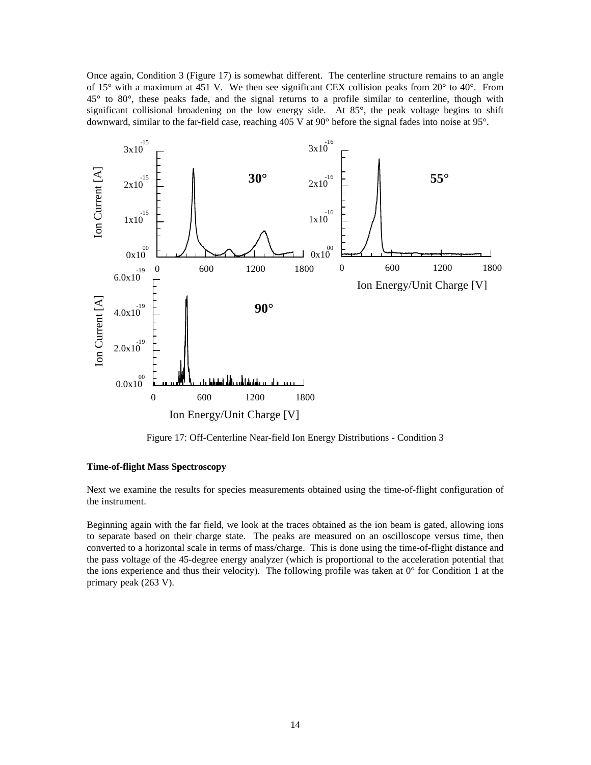Once again, Condition 3 (Figure 17) is somewhat different. The centerline structure remains to an angle of 15 $\degree$  with a maximum at 451 V. We then see significant CEX collision peaks from 20 $\degree$  to 40 $\degree$ . From 45° to 80°, these peaks fade, and the signal returns to a profile similar to centerline, though with significant collisional broadening on the low energy side. At 85°, the peak voltage begins to shift downward, similar to the far-field case, reaching 405 V at 90° before the signal fades into noise at 95°.



Figure 17: Off-Centerline Near-field Ion Energy Distributions - Condition 3

# **Time-of-flight Mass Spectroscopy**

Next we examine the results for species measurements obtained using the time-of-flight configuration of the instrument.

Beginning again with the far field, we look at the traces obtained as the ion beam is gated, allowing ions to separate based on their charge state. The peaks are measured on an oscilloscope versus time, then converted to a horizontal scale in terms of mass/charge. This is done using the time-of-flight distance and the pass voltage of the 45-degree energy analyzer (which is proportional to the acceleration potential that the ions experience and thus their velocity). The following profile was taken at  $0^{\circ}$  for Condition 1 at the primary peak (263 V).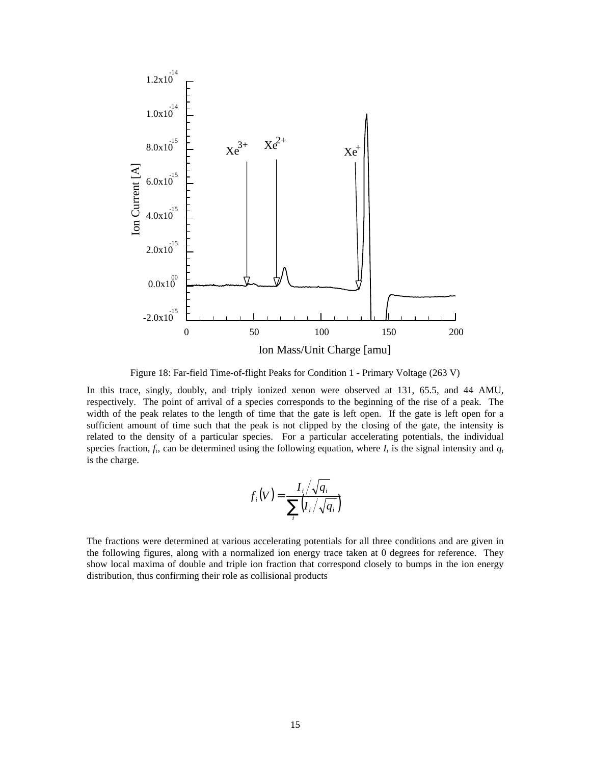

Figure 18: Far-field Time-of-flight Peaks for Condition 1 - Primary Voltage (263 V)

In this trace, singly, doubly, and triply ionized xenon were observed at 131, 65.5, and 44 AMU, respectively. The point of arrival of a species corresponds to the beginning of the rise of a peak. The width of the peak relates to the length of time that the gate is left open. If the gate is left open for a sufficient amount of time such that the peak is not clipped by the closing of the gate, the intensity is related to the density of a particular species. For a particular accelerating potentials, the individual species fraction,  $f_i$ , can be determined using the following equation, where  $I_i$  is the signal intensity and  $q_i$ is the charge.

$$
f_i(V) = \frac{I_i/\sqrt{q_i}}{\sum_i (I_i/\sqrt{q_i})}
$$

The fractions were determined at various accelerating potentials for all three conditions and are given in the following figures, along with a normalized ion energy trace taken at 0 degrees for reference. They show local maxima of double and triple ion fraction that correspond closely to bumps in the ion energy distribution, thus confirming their role as collisional products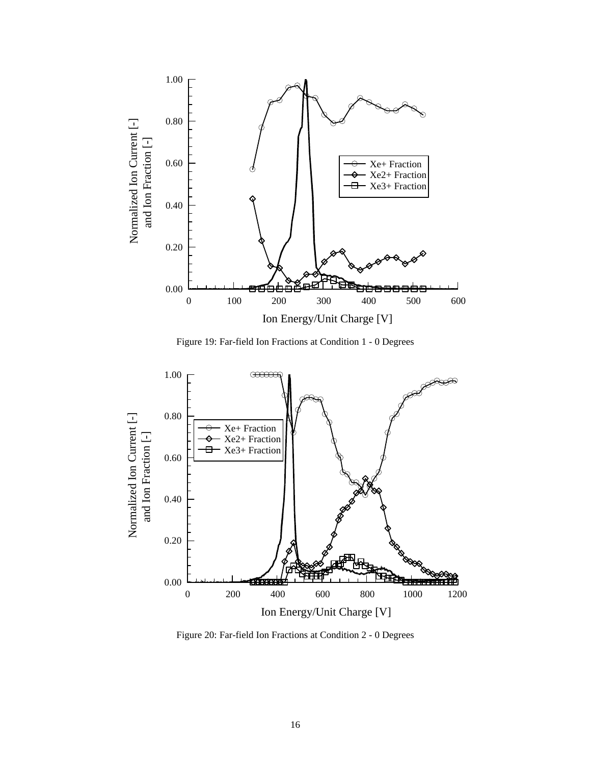

Figure 19: Far-field Ion Fractions at Condition 1 - 0 Degrees



Figure 20: Far-field Ion Fractions at Condition 2 - 0 Degrees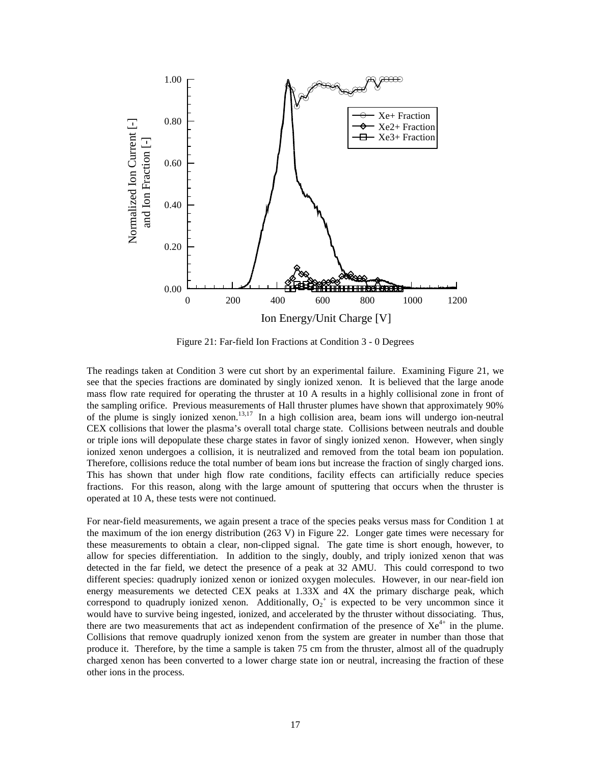

Figure 21: Far-field Ion Fractions at Condition 3 - 0 Degrees

The readings taken at Condition 3 were cut short by an experimental failure. Examining Figure 21, we see that the species fractions are dominated by singly ionized xenon. It is believed that the large anode mass flow rate required for operating the thruster at 10 A results in a highly collisional zone in front of the sampling orifice. Previous measurements of Hall thruster plumes have shown that approximately 90% of the plume is singly ionized xenon.<sup>13,17</sup> In a high collision area, beam ions will undergo ion-neutral CEX collisions that lower the plasma's overall total charge state. Collisions between neutrals and double or triple ions will depopulate these charge states in favor of singly ionized xenon. However, when singly ionized xenon undergoes a collision, it is neutralized and removed from the total beam ion population. Therefore, collisions reduce the total number of beam ions but increase the fraction of singly charged ions. This has shown that under high flow rate conditions, facility effects can artificially reduce species fractions. For this reason, along with the large amount of sputtering that occurs when the thruster is operated at 10 A, these tests were not continued.

For near-field measurements, we again present a trace of the species peaks versus mass for Condition 1 at the maximum of the ion energy distribution (263 V) in Figure 22. Longer gate times were necessary for these measurements to obtain a clear, non-clipped signal. The gate time is short enough, however, to allow for species differentiation. In addition to the singly, doubly, and triply ionized xenon that was detected in the far field, we detect the presence of a peak at 32 AMU. This could correspond to two different species: quadruply ionized xenon or ionized oxygen molecules. However, in our near-field ion energy measurements we detected CEX peaks at 1.33X and 4X the primary discharge peak, which correspond to quadruply ionized xenon. Additionally,  $O_2^+$  is expected to be very uncommon since it would have to survive being ingested, ionized, and accelerated by the thruster without dissociating. Thus, there are two measurements that act as independent confirmation of the presence of  $Xe^{4+}$  in the plume. Collisions that remove quadruply ionized xenon from the system are greater in number than those that produce it. Therefore, by the time a sample is taken 75 cm from the thruster, almost all of the quadruply charged xenon has been converted to a lower charge state ion or neutral, increasing the fraction of these other ions in the process.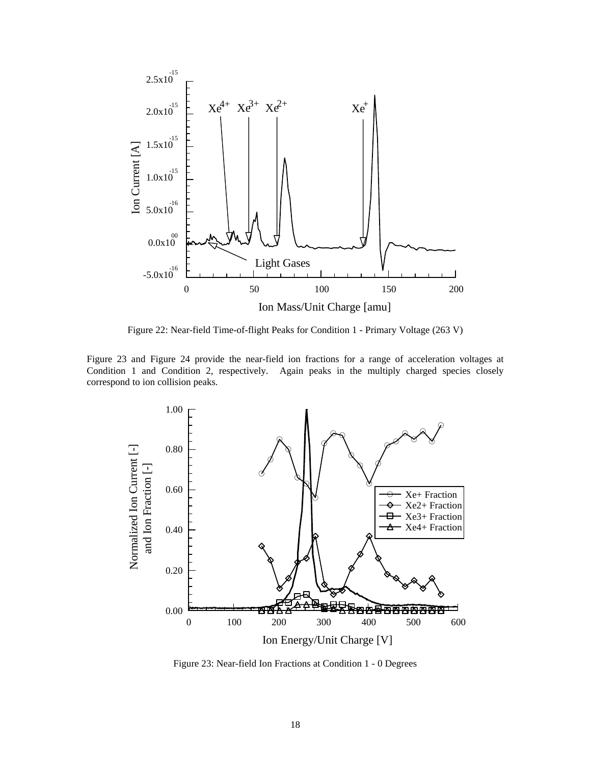

Figure 22: Near-field Time-of-flight Peaks for Condition 1 - Primary Voltage (263 V)

Figure 23 and Figure 24 provide the near-field ion fractions for a range of acceleration voltages at Condition 1 and Condition 2, respectively. Again peaks in the multiply charged species closely correspond to ion collision peaks.



Figure 23: Near-field Ion Fractions at Condition 1 - 0 Degrees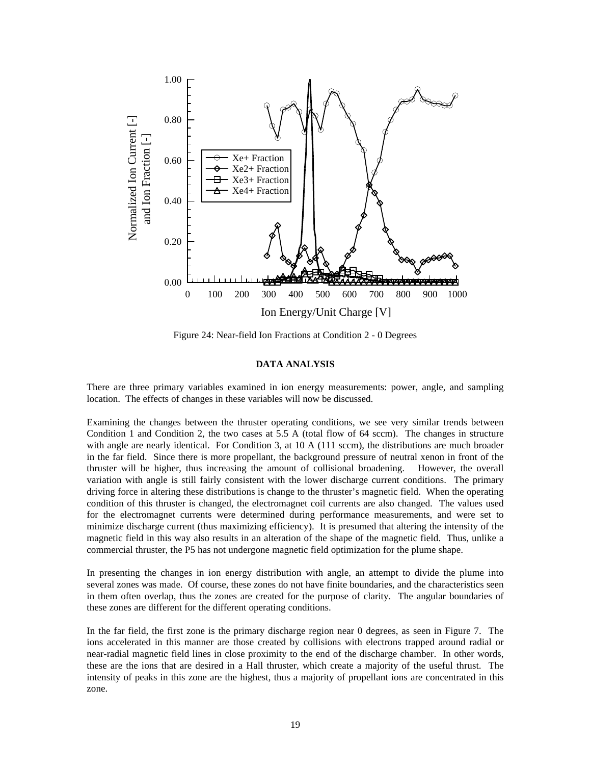

Figure 24: Near-field Ion Fractions at Condition 2 - 0 Degrees

### **DATA ANALYSIS**

There are three primary variables examined in ion energy measurements: power, angle, and sampling location. The effects of changes in these variables will now be discussed.

Examining the changes between the thruster operating conditions, we see very similar trends between Condition 1 and Condition 2, the two cases at 5.5 A (total flow of 64 sccm). The changes in structure with angle are nearly identical. For Condition 3, at 10 A (111 sccm), the distributions are much broader in the far field. Since there is more propellant, the background pressure of neutral xenon in front of the thruster will be higher, thus increasing the amount of collisional broadening. However, the overall variation with angle is still fairly consistent with the lower discharge current conditions. The primary driving force in altering these distributions is change to the thruster's magnetic field. When the operating condition of this thruster is changed, the electromagnet coil currents are also changed. The values used for the electromagnet currents were determined during performance measurements, and were set to minimize discharge current (thus maximizing efficiency). It is presumed that altering the intensity of the magnetic field in this way also results in an alteration of the shape of the magnetic field. Thus, unlike a commercial thruster, the P5 has not undergone magnetic field optimization for the plume shape.

In presenting the changes in ion energy distribution with angle, an attempt to divide the plume into several zones was made. Of course, these zones do not have finite boundaries, and the characteristics seen in them often overlap, thus the zones are created for the purpose of clarity. The angular boundaries of these zones are different for the different operating conditions.

In the far field, the first zone is the primary discharge region near 0 degrees, as seen in Figure 7. The ions accelerated in this manner are those created by collisions with electrons trapped around radial or near-radial magnetic field lines in close proximity to the end of the discharge chamber. In other words, these are the ions that are desired in a Hall thruster, which create a majority of the useful thrust. The intensity of peaks in this zone are the highest, thus a majority of propellant ions are concentrated in this zone.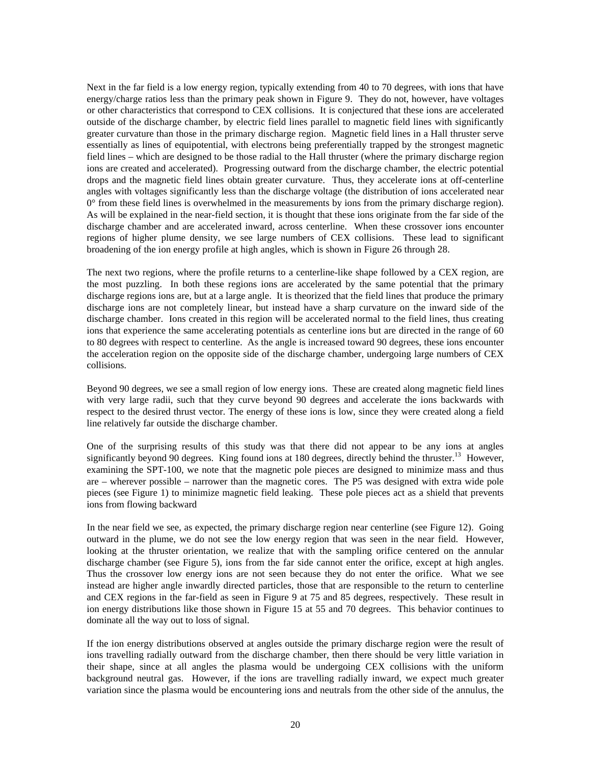Next in the far field is a low energy region, typically extending from 40 to 70 degrees, with ions that have energy/charge ratios less than the primary peak shown in Figure 9. They do not, however, have voltages or other characteristics that correspond to CEX collisions. It is conjectured that these ions are accelerated outside of the discharge chamber, by electric field lines parallel to magnetic field lines with significantly greater curvature than those in the primary discharge region. Magnetic field lines in a Hall thruster serve essentially as lines of equipotential, with electrons being preferentially trapped by the strongest magnetic field lines – which are designed to be those radial to the Hall thruster (where the primary discharge region ions are created and accelerated). Progressing outward from the discharge chamber, the electric potential drops and the magnetic field lines obtain greater curvature. Thus, they accelerate ions at off-centerline angles with voltages significantly less than the discharge voltage (the distribution of ions accelerated near  $0^{\circ}$  from these field lines is overwhelmed in the measurements by ions from the primary discharge region). As will be explained in the near-field section, it is thought that these ions originate from the far side of the discharge chamber and are accelerated inward, across centerline. When these crossover ions encounter regions of higher plume density, we see large numbers of CEX collisions. These lead to significant broadening of the ion energy profile at high angles, which is shown in Figure 26 through 28.

The next two regions, where the profile returns to a centerline-like shape followed by a CEX region, are the most puzzling. In both these regions ions are accelerated by the same potential that the primary discharge regions ions are, but at a large angle. It is theorized that the field lines that produce the primary discharge ions are not completely linear, but instead have a sharp curvature on the inward side of the discharge chamber. Ions created in this region will be accelerated normal to the field lines, thus creating ions that experience the same accelerating potentials as centerline ions but are directed in the range of 60 to 80 degrees with respect to centerline. As the angle is increased toward 90 degrees, these ions encounter the acceleration region on the opposite side of the discharge chamber, undergoing large numbers of CEX collisions.

Beyond 90 degrees, we see a small region of low energy ions. These are created along magnetic field lines with very large radii, such that they curve beyond 90 degrees and accelerate the ions backwards with respect to the desired thrust vector. The energy of these ions is low, since they were created along a field line relatively far outside the discharge chamber.

One of the surprising results of this study was that there did not appear to be any ions at angles significantly beyond 90 degrees. King found ions at 180 degrees, directly behind the thruster.<sup>13</sup> However, examining the SPT-100, we note that the magnetic pole pieces are designed to minimize mass and thus are – wherever possible – narrower than the magnetic cores. The P5 was designed with extra wide pole pieces (see Figure 1) to minimize magnetic field leaking. These pole pieces act as a shield that prevents ions from flowing backward

In the near field we see, as expected, the primary discharge region near centerline (see Figure 12). Going outward in the plume, we do not see the low energy region that was seen in the near field. However, looking at the thruster orientation, we realize that with the sampling orifice centered on the annular discharge chamber (see Figure 5), ions from the far side cannot enter the orifice, except at high angles. Thus the crossover low energy ions are not seen because they do not enter the orifice. What we see instead are higher angle inwardly directed particles, those that are responsible to the return to centerline and CEX regions in the far-field as seen in Figure 9 at 75 and 85 degrees, respectively. These result in ion energy distributions like those shown in Figure 15 at 55 and 70 degrees. This behavior continues to dominate all the way out to loss of signal.

If the ion energy distributions observed at angles outside the primary discharge region were the result of ions travelling radially outward from the discharge chamber, then there should be very little variation in their shape, since at all angles the plasma would be undergoing CEX collisions with the uniform background neutral gas. However, if the ions are travelling radially inward, we expect much greater variation since the plasma would be encountering ions and neutrals from the other side of the annulus, the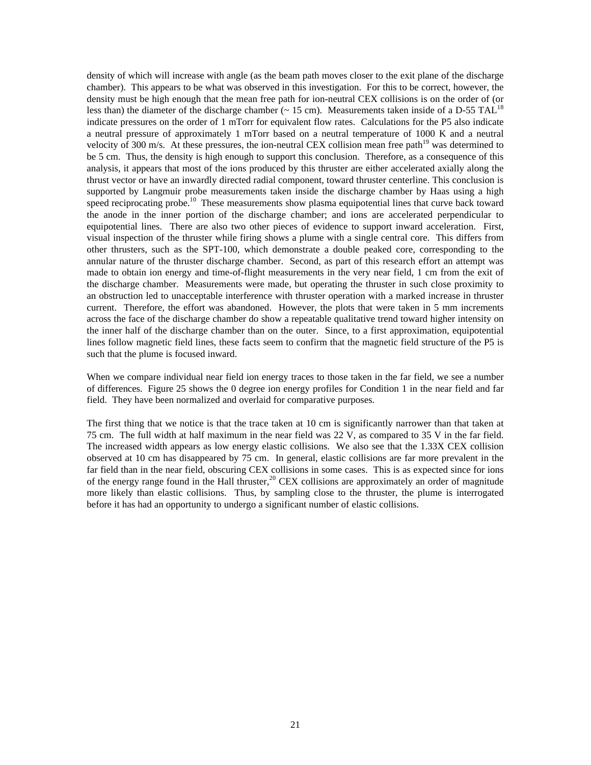density of which will increase with angle (as the beam path moves closer to the exit plane of the discharge chamber). This appears to be what was observed in this investigation. For this to be correct, however, the density must be high enough that the mean free path for ion-neutral CEX collisions is on the order of (or less than) the diameter of the discharge chamber ( $\sim 15$  cm). Measurements taken inside of a D-55 TAL<sup>18</sup> indicate pressures on the order of 1 mTorr for equivalent flow rates. Calculations for the P5 also indicate a neutral pressure of approximately 1 mTorr based on a neutral temperature of 1000 K and a neutral velocity of 300 m/s. At these pressures, the ion-neutral CEX collision mean free path<sup>19</sup> was determined to be 5 cm. Thus, the density is high enough to support this conclusion. Therefore, as a consequence of this analysis, it appears that most of the ions produced by this thruster are either accelerated axially along the thrust vector or have an inwardly directed radial component, toward thruster centerline. This conclusion is supported by Langmuir probe measurements taken inside the discharge chamber by Haas using a high speed reciprocating probe.<sup>10</sup> These measurements show plasma equipotential lines that curve back toward the anode in the inner portion of the discharge chamber; and ions are accelerated perpendicular to equipotential lines. There are also two other pieces of evidence to support inward acceleration. First, visual inspection of the thruster while firing shows a plume with a single central core. This differs from other thrusters, such as the SPT-100, which demonstrate a double peaked core, corresponding to the annular nature of the thruster discharge chamber. Second, as part of this research effort an attempt was made to obtain ion energy and time-of-flight measurements in the very near field, 1 cm from the exit of the discharge chamber. Measurements were made, but operating the thruster in such close proximity to an obstruction led to unacceptable interference with thruster operation with a marked increase in thruster current. Therefore, the effort was abandoned. However, the plots that were taken in 5 mm increments across the face of the discharge chamber do show a repeatable qualitative trend toward higher intensity on the inner half of the discharge chamber than on the outer. Since, to a first approximation, equipotential lines follow magnetic field lines, these facts seem to confirm that the magnetic field structure of the P5 is such that the plume is focused inward.

When we compare individual near field ion energy traces to those taken in the far field, we see a number of differences. Figure 25 shows the 0 degree ion energy profiles for Condition 1 in the near field and far field. They have been normalized and overlaid for comparative purposes.

The first thing that we notice is that the trace taken at 10 cm is significantly narrower than that taken at 75 cm. The full width at half maximum in the near field was 22 V, as compared to 35 V in the far field. The increased width appears as low energy elastic collisions. We also see that the 1.33X CEX collision observed at 10 cm has disappeared by 75 cm. In general, elastic collisions are far more prevalent in the far field than in the near field, obscuring CEX collisions in some cases. This is as expected since for ions of the energy range found in the Hall thruster,<sup>20</sup> CEX collisions are approximately an order of magnitude more likely than elastic collisions. Thus, by sampling close to the thruster, the plume is interrogated before it has had an opportunity to undergo a significant number of elastic collisions.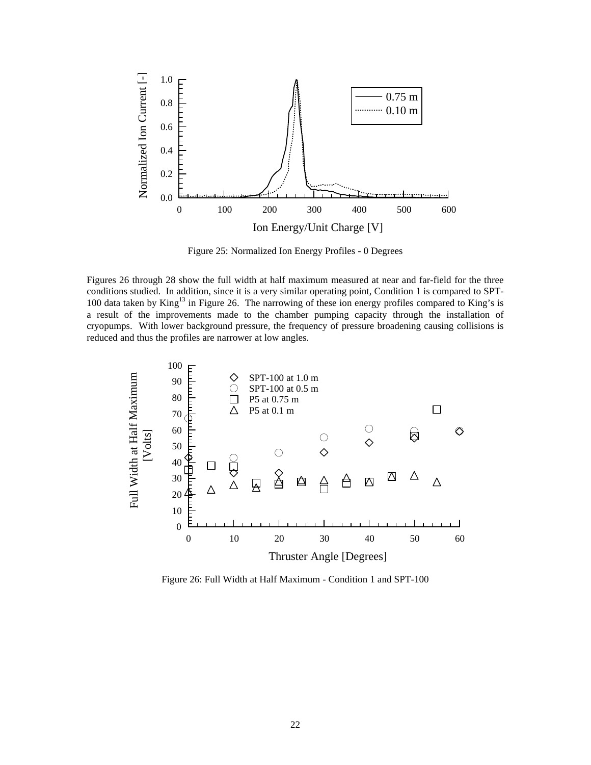

Figure 25: Normalized Ion Energy Profiles - 0 Degrees

Figures 26 through 28 show the full width at half maximum measured at near and far-field for the three conditions studied. In addition, since it is a very similar operating point, Condition 1 is compared to SPT-100 data taken by King<sup>13</sup> in Figure 26. The narrowing of these ion energy profiles compared to King's is a result of the improvements made to the chamber pumping capacity through the installation of cryopumps. With lower background pressure, the frequency of pressure broadening causing collisions is reduced and thus the profiles are narrower at low angles.



Figure 26: Full Width at Half Maximum - Condition 1 and SPT-100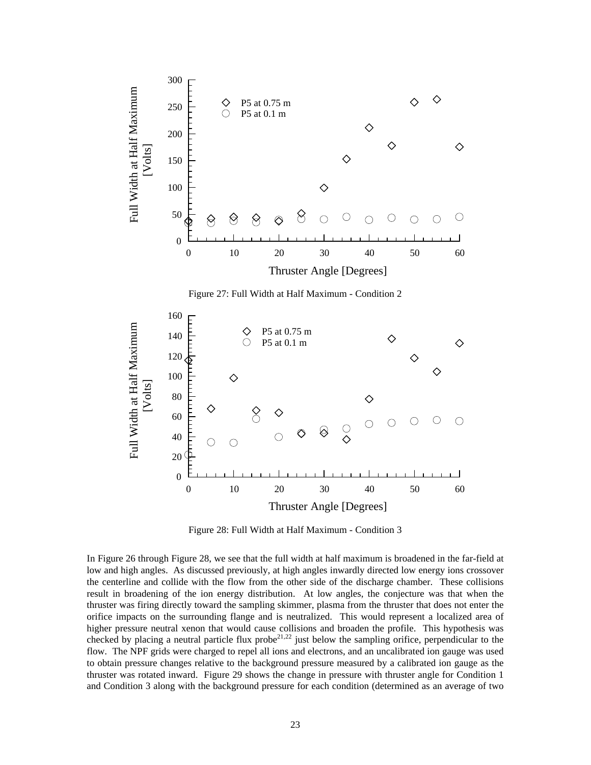



Figure 28: Full Width at Half Maximum - Condition 3

In Figure 26 through Figure 28, we see that the full width at half maximum is broadened in the far-field at low and high angles. As discussed previously, at high angles inwardly directed low energy ions crossover the centerline and collide with the flow from the other side of the discharge chamber. These collisions result in broadening of the ion energy distribution. At low angles, the conjecture was that when the thruster was firing directly toward the sampling skimmer, plasma from the thruster that does not enter the orifice impacts on the surrounding flange and is neutralized. This would represent a localized area of higher pressure neutral xenon that would cause collisions and broaden the profile. This hypothesis was checked by placing a neutral particle flux probe<sup>21,22</sup> just below the sampling orifice, perpendicular to the flow. The NPF grids were charged to repel all ions and electrons, and an uncalibrated ion gauge was used to obtain pressure changes relative to the background pressure measured by a calibrated ion gauge as the thruster was rotated inward. Figure 29 shows the change in pressure with thruster angle for Condition 1 and Condition 3 along with the background pressure for each condition (determined as an average of two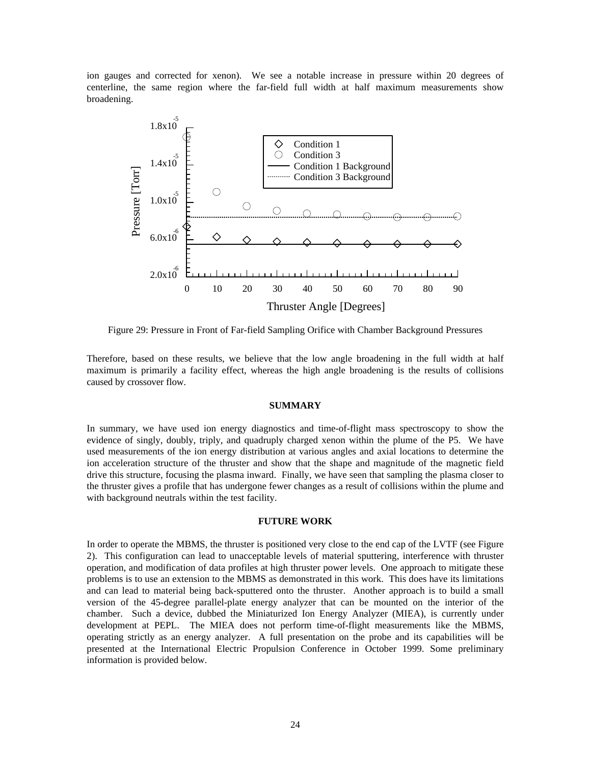ion gauges and corrected for xenon). We see a notable increase in pressure within 20 degrees of centerline, the same region where the far-field full width at half maximum measurements show broadening.



Figure 29: Pressure in Front of Far-field Sampling Orifice with Chamber Background Pressures

Therefore, based on these results, we believe that the low angle broadening in the full width at half maximum is primarily a facility effect, whereas the high angle broadening is the results of collisions caused by crossover flow.

#### **SUMMARY**

In summary, we have used ion energy diagnostics and time-of-flight mass spectroscopy to show the evidence of singly, doubly, triply, and quadruply charged xenon within the plume of the P5. We have used measurements of the ion energy distribution at various angles and axial locations to determine the ion acceleration structure of the thruster and show that the shape and magnitude of the magnetic field drive this structure, focusing the plasma inward. Finally, we have seen that sampling the plasma closer to the thruster gives a profile that has undergone fewer changes as a result of collisions within the plume and with background neutrals within the test facility.

# **FUTURE WORK**

In order to operate the MBMS, the thruster is positioned very close to the end cap of the LVTF (see Figure 2). This configuration can lead to unacceptable levels of material sputtering, interference with thruster operation, and modification of data profiles at high thruster power levels. One approach to mitigate these problems is to use an extension to the MBMS as demonstrated in this work. This does have its limitations and can lead to material being back-sputtered onto the thruster. Another approach is to build a small version of the 45-degree parallel-plate energy analyzer that can be mounted on the interior of the chamber. Such a device, dubbed the Miniaturized Ion Energy Analyzer (MIEA), is currently under development at PEPL. The MIEA does not perform time-of-flight measurements like the MBMS, operating strictly as an energy analyzer. A full presentation on the probe and its capabilities will be presented at the International Electric Propulsion Conference in October 1999. Some preliminary information is provided below.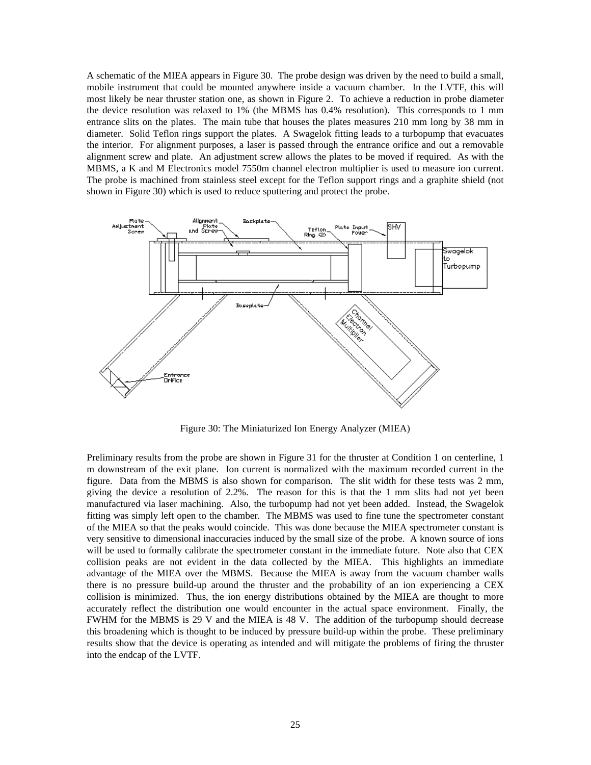A schematic of the MIEA appears in Figure 30. The probe design was driven by the need to build a small, mobile instrument that could be mounted anywhere inside a vacuum chamber. In the LVTF, this will most likely be near thruster station one, as shown in Figure 2. To achieve a reduction in probe diameter the device resolution was relaxed to 1% (the MBMS has 0.4% resolution). This corresponds to 1 mm entrance slits on the plates. The main tube that houses the plates measures 210 mm long by 38 mm in diameter. Solid Teflon rings support the plates. A Swagelok fitting leads to a turbopump that evacuates the interior. For alignment purposes, a laser is passed through the entrance orifice and out a removable alignment screw and plate. An adjustment screw allows the plates to be moved if required. As with the MBMS, a K and M Electronics model 7550m channel electron multiplier is used to measure ion current. The probe is machined from stainless steel except for the Teflon support rings and a graphite shield (not shown in Figure 30) which is used to reduce sputtering and protect the probe.



Figure 30: The Miniaturized Ion Energy Analyzer (MIEA)

Preliminary results from the probe are shown in Figure 31 for the thruster at Condition 1 on centerline, 1 m downstream of the exit plane. Ion current is normalized with the maximum recorded current in the figure. Data from the MBMS is also shown for comparison. The slit width for these tests was 2 mm, giving the device a resolution of 2.2%. The reason for this is that the 1 mm slits had not yet been manufactured via laser machining. Also, the turbopump had not yet been added. Instead, the Swagelok fitting was simply left open to the chamber. The MBMS was used to fine tune the spectrometer constant of the MIEA so that the peaks would coincide. This was done because the MIEA spectrometer constant is very sensitive to dimensional inaccuracies induced by the small size of the probe. A known source of ions will be used to formally calibrate the spectrometer constant in the immediate future. Note also that CEX collision peaks are not evident in the data collected by the MIEA. This highlights an immediate advantage of the MIEA over the MBMS. Because the MIEA is away from the vacuum chamber walls there is no pressure build-up around the thruster and the probability of an ion experiencing a CEX collision is minimized. Thus, the ion energy distributions obtained by the MIEA are thought to more accurately reflect the distribution one would encounter in the actual space environment. Finally, the FWHM for the MBMS is 29 V and the MIEA is 48 V. The addition of the turbopump should decrease this broadening which is thought to be induced by pressure build-up within the probe. These preliminary results show that the device is operating as intended and will mitigate the problems of firing the thruster into the endcap of the LVTF.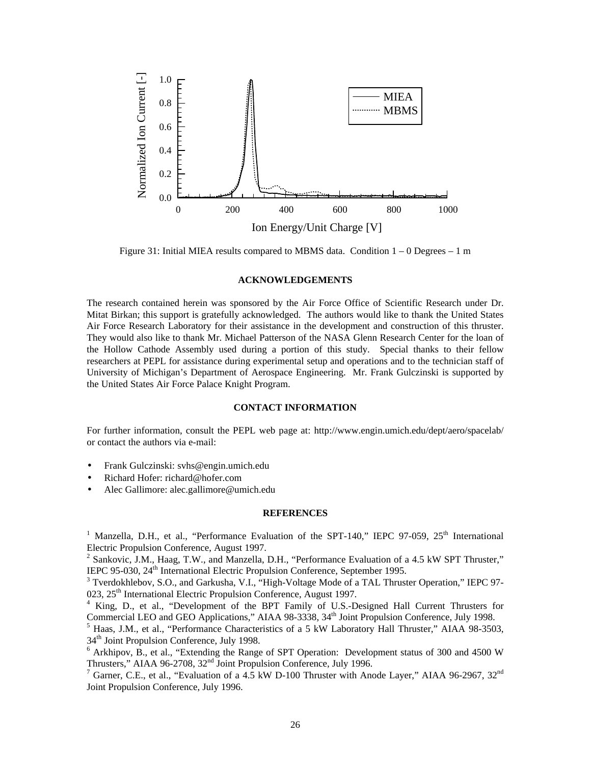

Figure 31: Initial MIEA results compared to MBMS data. Condition  $1 - 0$  Degrees  $-1$  m

## **ACKNOWLEDGEMENTS**

The research contained herein was sponsored by the Air Force Office of Scientific Research under Dr. Mitat Birkan; this support is gratefully acknowledged. The authors would like to thank the United States Air Force Research Laboratory for their assistance in the development and construction of this thruster. They would also like to thank Mr. Michael Patterson of the NASA Glenn Research Center for the loan of the Hollow Cathode Assembly used during a portion of this study. Special thanks to their fellow researchers at PEPL for assistance during experimental setup and operations and to the technician staff of University of Michigan's Department of Aerospace Engineering. Mr. Frank Gulczinski is supported by the United States Air Force Palace Knight Program.

#### **CONTACT INFORMATION**

For further information, consult the PEPL web page at: http://www.engin.umich.edu/dept/aero/spacelab/ or contact the authors via e-mail:

- Frank Gulczinski: svhs@engin.umich.edu
- Richard Hofer: richard@hofer.com
- Alec Gallimore: alec.gallimore@umich.edu

## **REFERENCES**

<sup>1</sup> Manzella, D.H., et al., "Performance Evaluation of the SPT-140," IEPC 97-059, 25<sup>th</sup> International Electric Propulsion Conference, August 1997.

<sup>2</sup> Sankovic, J.M., Haag, T.W., and Manzella, D.H., "Performance Evaluation of a 4.5 kW SPT Thruster," IEPC 95-030, 24<sup>th</sup> International Electric Propulsion Conference, September 1995.

<sup>3</sup> Tverdokhlebov, S.O., and Garkusha, V.I., "High-Voltage Mode of a TAL Thruster Operation," IEPC 97-023, 25<sup>th</sup> International Electric Propulsion Conference, August 1997.

<sup>4</sup> King, D., et al., "Development of the BPT Family of U.S.-Designed Hall Current Thrusters for Commercial LEO and GEO Applications," AIAA 98-3338, 34<sup>th</sup> Joint Propulsion Conference, July 1998.

<sup>5</sup> Haas, J.M., et al., "Performance Characteristics of a 5 kW Laboratory Hall Thruster," AIAA 98-3503, 34<sup>th</sup> Joint Propulsion Conference, July 1998.

<sup>&</sup>lt;sup>6</sup> Arkhipov, B., et al., "Extending the Range of SPT Operation: Development status of 300 and 4500 W Thrusters," AIAA 96-2708, 32<sup>nd</sup> Joint Propulsion Conference, July 1996.

<sup>&</sup>lt;sup>7</sup> Garner, C.E., et al., "Evaluation of a 4.5 kW D-100 Thruster with Anode Layer," AIAA 96-2967, 32<sup>nd</sup> Joint Propulsion Conference, July 1996.